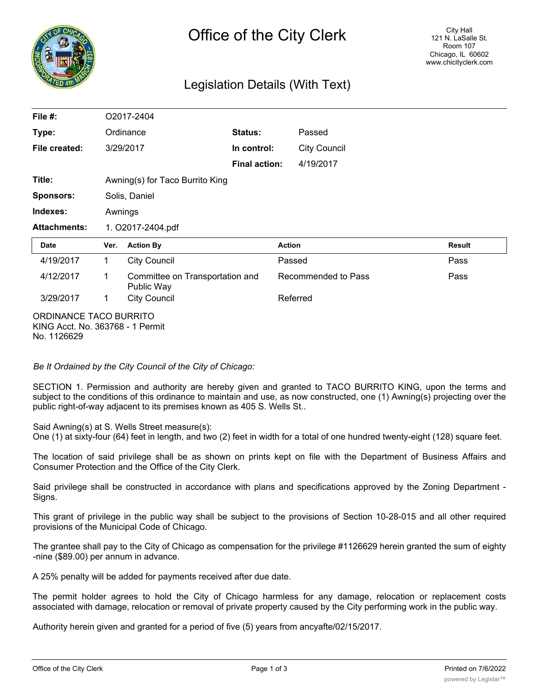

## Legislation Details (With Text)

| File #:                | O2017-2404                      |                                               |                      |                     |               |
|------------------------|---------------------------------|-----------------------------------------------|----------------------|---------------------|---------------|
| Type:                  |                                 | Ordinance                                     | Status:              | Passed              |               |
| File created:          |                                 | 3/29/2017                                     | In control:          | <b>City Council</b> |               |
|                        |                                 |                                               | <b>Final action:</b> | 4/19/2017           |               |
| Title:                 | Awning(s) for Taco Burrito King |                                               |                      |                     |               |
| <b>Sponsors:</b>       | Solis, Daniel                   |                                               |                      |                     |               |
| Indexes:               | Awnings                         |                                               |                      |                     |               |
| <b>Attachments:</b>    | 1. O2017-2404.pdf               |                                               |                      |                     |               |
| Date                   | Ver.                            | <b>Action By</b>                              |                      | <b>Action</b>       | <b>Result</b> |
| 4/19/2017              | 1                               | <b>City Council</b>                           |                      | Passed              | Pass          |
| 4/12/2017              | 1                               | Committee on Transportation and<br>Public Way |                      | Recommended to Pass | Pass          |
| 3/29/2017              | 1                               | <b>City Council</b>                           |                      | Referred            |               |
| ORDINANCE TACO BURRITO |                                 |                                               |                      |                     |               |

KING Acct. No. 363768 - 1 Permit No. 1126629

*Be It Ordained by the City Council of the City of Chicago:*

SECTION 1. Permission and authority are hereby given and granted to TACO BURRITO KING, upon the terms and subject to the conditions of this ordinance to maintain and use, as now constructed, one (1) Awning(s) projecting over the public right-of-way adjacent to its premises known as 405 S. Wells St..

Said Awning(s) at S. Wells Street measure(s):

One (1) at sixty-four (64) feet in length, and two (2) feet in width for a total of one hundred twenty-eight (128) square feet.

The location of said privilege shall be as shown on prints kept on file with the Department of Business Affairs and Consumer Protection and the Office of the City Clerk.

Said privilege shall be constructed in accordance with plans and specifications approved by the Zoning Department - Signs.

This grant of privilege in the public way shall be subject to the provisions of Section 10-28-015 and all other required provisions of the Municipal Code of Chicago.

The grantee shall pay to the City of Chicago as compensation for the privilege #1126629 herein granted the sum of eighty -nine (\$89.00) per annum in advance.

A 25% penalty will be added for payments received after due date.

The permit holder agrees to hold the City of Chicago harmless for any damage, relocation or replacement costs associated with damage, relocation or removal of private property caused by the City performing work in the public way.

Authority herein given and granted for a period of five (5) years from ancyafte/02/15/2017.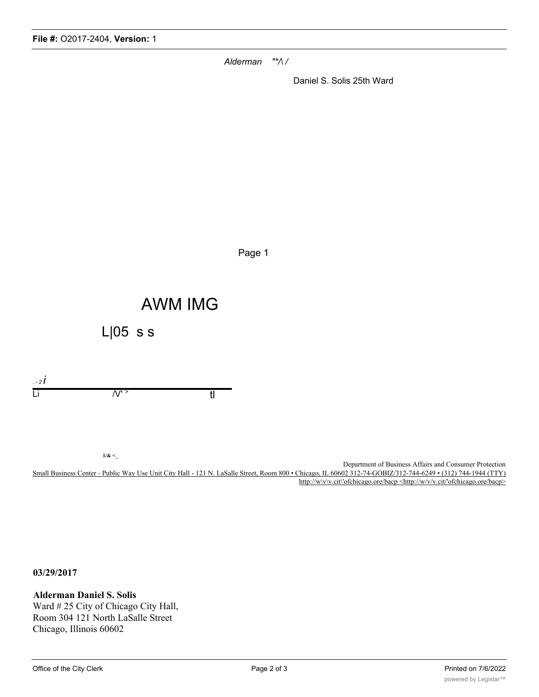*Alderman "\*/\ /*

Daniel S. Solis 25th Ward

Page 1

## AWM IMG

L|05 s s

*. - 2 i*  $\overline{\mathsf{L}}$ i  $\overline{\mathsf{L}}$ '  $\mathsf{L}$ '  $\mathsf{L}$ '  $\mathsf{L}$ '  $\mathsf{L}$ ' t

**1/& <\_**

Department of Business Affairs and Consumer Protection Small Business Center - Public Way Use Unit City Hall - 121 N. LaSalle Street, Room 800 • Chicago, IL 60602 312-74-GOBIZ/312-744-6249 • (312) 744-1944 (TTY) http://w\v\v.cit\'ofchicago.ore/bacp <http://w/v/v.cit/'ofchicago.ore/bacp>

**03/29/2017**

**Alderman Daniel S. Solis** Ward # 25 City of Chicago City Hall, Room 304 121 North LaSalle Street Chicago, Illinois 60602